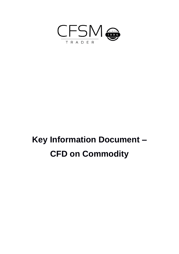

# **Key Information Document – CFD on Commodity**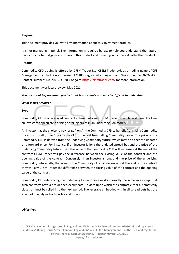#### *Purpose*

This document provides you with key information about this investment product.

It is not marketing material. The information is required by law to help you understand the nature, risks, costs, potential gains and losses of this product and to help you compare it with other products.

# **Product:**

Commodity CFD trading is offered by CFSM Trader Ltd, CFSM Trader Ltd. as a trading name of CFS Management Limited FCA authorised 171480, registered in England and Wales, number 02960433. Contact Number: +44 207 323 020 7 or go to https://cfsmtrader.com/ for more information.

This document was latest review: May 2021.

# *You are about to purchase a product that is not simple and may be difficult to understand.*

# *What is this product?*

# **Type**

Commodity CFD is a leveraged contract entered into with CFSM Trader on a bilateral basis. It allows an investor to speculate on rising or falling prices in an underlying Commodity.

An investor has the choice to buy (or go "long") the Commodity CFD to benefit from rising Commodity prices; or to sell (or go "short") the CFD to benefit from falling Commodity prices. The price of the Commodity CFD is derived from the underlying Commodity future, which may be either the undated or a forward price. For instance, if an investor is long the undated spread bet and the price of the underlying Commodity future rises, the value of the Commodity CFD will increase - at the end of the contract CFSM Trader will pay the difference between the closing value of the contract and the opening value of the contract. Conversely, if an investor is long and the price of the underlying Commodity future falls, the value of the Commodity CFD will decrease - at the end of the contract they will pay CFSM Trader the difference between the closing value of the contract and the opening value of the contract.

Commodity CFD referencing the underlying forward price works in exactly the same way except that such contracts have a pre-defined expiry date – a date upon which the contract either automatically closes or must be rolled into the next period. The leverage embedded within all spread bets has the effect of magnifying both profits and losses.

#### *Objectives*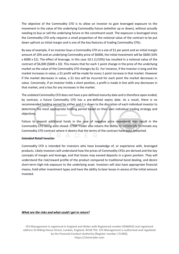The objective of the Commodity CFD is to allow an investor to gain leveraged exposure to the movement in the value of the underlying Commodity future (whether up or down), without actually needing to buy or sell the underlying future or the constituent asset. The exposure is leveraged since the Commodity CFD only requires a small proportion of the notional value of the contract to be put down upfront as initial margin and is one of the key features of trading Commodity CFDs.

By way of example, if an investor buys a Commodity CFD at a size of \$1 per point and an initial margin amount of 10% and an underlying Commodity price of \$6000, the initial investment will be \$600 (10% x 6000 x \$1). The effect of leverage, in this case 10:1 (1/10%) has resulted in a notional value of the contract of \$6,000 (\$600 x 10). This means that for each 1 point change in the price of the underlying market so the value of the Commodity CFD changes by \$1. For instance, if the investor is long and the market increases in value, a \$1 profit will be made for every 1 point increase in that market. However if the market decreases in value, a \$1 loss will be incurred for each point the market decreases in value. Conversely, if an investor holds a short position, a profit is made in line with any decreases in that market, and a loss for any increases in the market.

The undated Commodity CFD does not have a pre-defined maturity date and is therefore open-ended; by contrast, a future Commodity CFD has a pre-defined expiry date. As a result, there is no recommended holding period for either and it is down to the discretion of each individual investor to determine the most appropriate holding period based on their own individual trading strategy and objectives.

Failure to deposit additional funds in the case of negative price movement may result in the Commodity CFD being auto closed. CFSM Trader also retains the ability to unilaterally terminate any Commodity CFD contract where it deems that the terms of the contract have been breached.

#### *Intended Retail Investor*

Commodity CFD is intended for investors who have knowledge of, or experience with, leveraged products. Likely investors will understand how the prices of Commodity CFDs are derived and the key concepts of margin and leverage, and that losses may exceed deposits in a given position. They will understand the risk/reward profile of the product compared to traditional bond dealing, and desire short-term high-risk exposure to the underlying asset. Investors will also have appropriate financial means, hold other investment types and have the ability to bear losses in excess of the initial amount invested.

#### *What are the risks and what could I get in return?*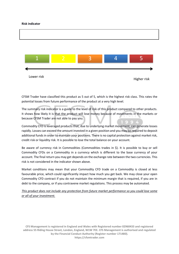#### **Risk indicator**



CFSM Trader have classified this product as 5 out of 5, which is the highest risk class. This rates the potential losses from future performance of the product at a very high level.

The summary risk indicator is a guide to the level of risk of this product compared to other products. It shows how likely it is that the product will lose money because of movements in the markets or because CFSM Trader are not able to pay you.

Commodity CFD is leveraged products that, due to underlying market movement, can generate losses rapidly. Losses can exceed the amount invested in a given position and you may be required to deposit additional funds in order to maintain your positions. There is no capital protection against market risk, credit risk or liquidity risk. It is possible to lose the total balance on your account.

Be aware of currency risk in Commodities (Commodities trades in \$). It is possible to buy or sell Commodity CFDs on a Commodity in a currency which is different to the base currency of your account. The final return you may get depends on the exchange rate between the two currencies. This risk is not considered in the indicator shown above.

Market conditions may mean that your Commodity CFD trade on a Commodity is closed at less favourable price, which could significantly impact how much you get back. We may close your open Commodity CFD contract if you do not maintain the minimum margin that is required, if you are in debt to the company, or if you contravene market regulations. This process may be automated.

*This product does not include any protection from future market performance so you could lose some or all of your investment.*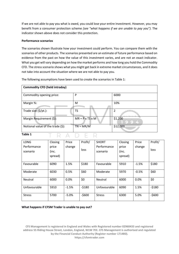If we are not able to pay you what is owed, you could lose your entire investment. However, you may benefit from a consumer protection scheme *(see "what happens if we are unable to pay you")*. The indicator shown above does not consider this protection.

### **Performance scenarios**

The scenarios shown illustrate how your investment could perform. You can compare them with the scenarios of other products. The scenarios presented are an estimate of future performance based on evidence from the past on how the value of this investment varies, and are not an exact indicator. What you get will vary depending on how the market performs and how long you hold the Commodity CFD. The stress scenario shows what you might get back in extreme market circumstances, and it does not take into account the situation where we are not able to pay you.

The following assumptions have been used to create the scenarios in Table 1:

| <b>Commodity CFD (held intraday)</b> |                             |              |
|--------------------------------------|-----------------------------|--------------|
| Commodity opening price:             | P                           | 6000         |
| Margin %:                            | M                           | 10%          |
| Trade size (\$/pt.):                 | TS                          | 2            |
| Margin Requirement (\$):             | $MR = P \times TS \times M$ | \$1,200<br>w |
| Notional value of the trade (\$):    | $TN = MR/M$                 | \$12,000     |
| Table 1                              |                             |              |

| <b>LONG</b>   | Closing | Price   | Profit/ | <b>SHORT</b>   | Closing | Price   | Profit/ |
|---------------|---------|---------|---------|----------------|---------|---------|---------|
| Performance   | price   | change  |         | Performance    | price   | change  |         |
| scenario      | (inc.   |         | loss    | scenario       | (inc.   |         | loss    |
|               | spread) |         |         |                | spread) |         |         |
|               |         |         |         |                |         |         |         |
| Favourable    | 6090    | 1.5%    | \$180   | Favourable     | 5910    | $-1.5%$ | \$180   |
| Moderate      | 6030    | 0.5%    | \$60    | Moderate       | 5970    | $-0.5%$ | \$60    |
| Neutral       | 6000    | 0.0%    | \$0     | <b>Neutral</b> | 6000    | 0.0%    | \$0     |
| Unfavourable  | 5910    | $-1.5%$ | $-5180$ | Unfavourable   | 6090    | 1.5%    | $-5180$ |
| <b>Stress</b> | 5700    | $-5.0%$ | $-5600$ | <b>Stress</b>  | 6300    | 5.0%    | $-5600$ |

#### **What happens if CFSM Trader is unable to pay out?**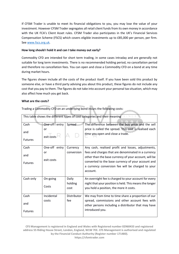If CFSM Trader is unable to meet its financial obligations to you, you may lose the value of your investment. However CFSM Trader segregates all retail client funds from its own money in accordance with the UK FCA's Client Asset rules. CFSM Trader also participates in the UK's Financial Services Compensation Scheme (FSCS) which covers eligible investments up to £85,000 per person, per firm. Se[e www.fscs.org.uk.](http://www.fscs.org.uk/)

# **How long should I hold it and can I take money out early?**

Commodity CFD are intended for short term trading, in some cases intraday and are generally not suitable for long term investments. There is no recommended holding period, no cancellation period and therefore no cancellation fees. You can open and close a Commodity CFD on a bond at any time during market hours.

The figures shown include all the costs of the product itself. If you have been sold this product by someone else, or have a third party advising you about this product, these figures do not include any cost that you pay to them. The figures do not take into account your personal tax situation, which may also affect how much you get back.

entralia.<br>Nati

# **What are the costs?**

Trading a Commodity CFD on an underlying bond incurs the following costs:

|                               |                     |                          | This table shows the different types of cost categories and their meaning<br>in C.E                                                                                             |
|-------------------------------|---------------------|--------------------------|---------------------------------------------------------------------------------------------------------------------------------------------------------------------------------|
| Cash                          | One-off entry       | Spread                   | The difference between the buy price and the sell                                                                                                                               |
| and<br><b>Futures</b>         | or<br>exit costs    |                          | price is called the spread. This cost is realised each<br>time you open and close a trade.                                                                                      |
| Cash                          | One-off entry       | Currency                 | Any cash, realised profit and losses, adjustments,                                                                                                                              |
| and                           | or<br>exit costs    | conversion               | fees and charges that are denominated in a currency<br>other than the base currency of your account, will be                                                                    |
| <b>Futures</b>                |                     |                          | converted to the base currency of your account and<br>a currency conversion fee will be charged to your<br>account.                                                             |
| Cash only                     | On-going<br>Costs   | Daily<br>holding<br>cost | An overnight fee is charged to your account for every<br>night that your position is held. This means the longer<br>you hold a position, the more it costs.                     |
| Cash<br>and<br><b>Futures</b> | Incidental<br>costs | Distributor<br>fee       | We may from time to time share a proportion of our<br>spread, commissions and other account fees with<br>other persons including a distributor that may have<br>introduced you. |
|                               |                     |                          |                                                                                                                                                                                 |